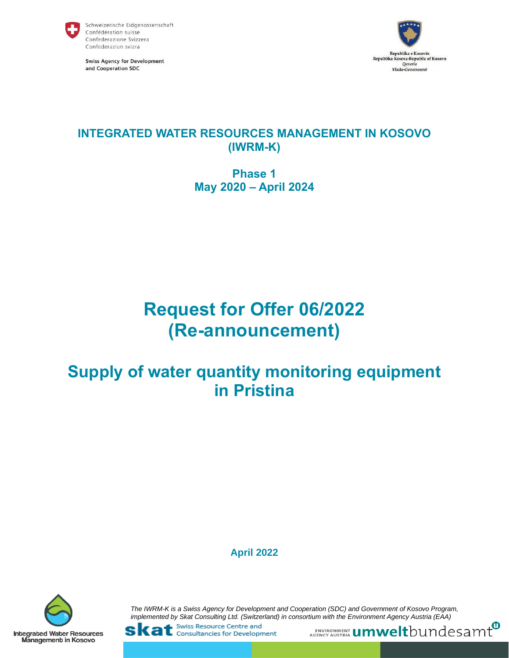

**Swiss Agency for Development** and Cooperation SDC



# **INTEGRATED WATER RESOURCES MANAGEMENT IN KOSOVO (IWRM-K)**

# **Phase 1 May 2020 – April 2024**

# **Request for Offer 06/2022 (Re-announcement)**

# **Supply of water quantity monitoring equipment in Pristina**

**April 2022**



*The IWRM-K is a Swiss Agency for Development and Cooperation (SDC) and Government of Kosovo Program, implemented by Skat Consulting Ltd. (Switzerland) in consortium with the Environment Agency Austria (EAA)*<br>
SKat Consultancies for Development<br>
AGENCY AUSTRIA UMWeltbUNdeSamt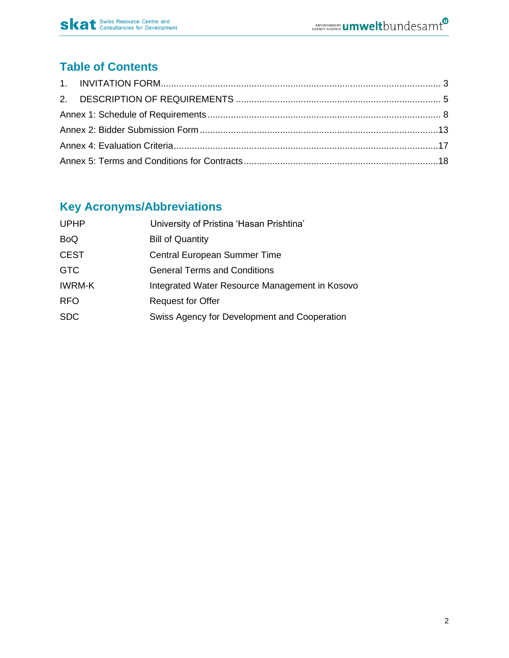

# **Table of Contents**

# **Key Acronyms/Abbreviations**

| <b>UPHP</b>   | University of Pristina 'Hasan Prishtina'       |
|---------------|------------------------------------------------|
| <b>BoQ</b>    | <b>Bill of Quantity</b>                        |
| <b>CEST</b>   | Central European Summer Time                   |
| <b>GTC</b>    | <b>General Terms and Conditions</b>            |
| <b>IWRM-K</b> | Integrated Water Resource Management in Kosovo |
| <b>RFO</b>    | <b>Request for Offer</b>                       |
| <b>SDC</b>    | Swiss Agency for Development and Cooperation   |
|               |                                                |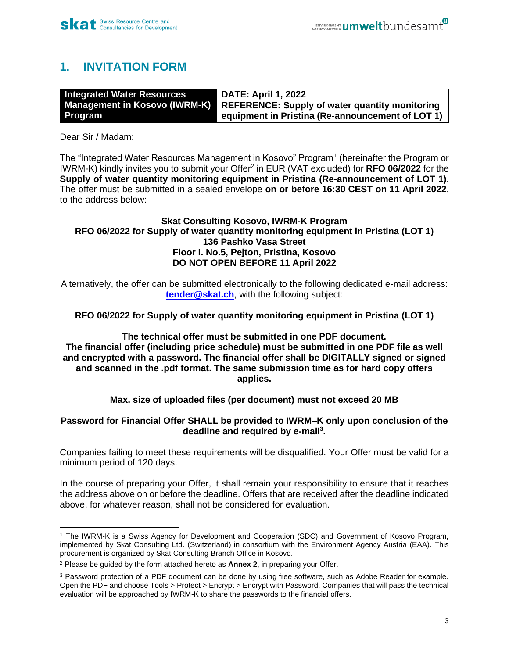# <span id="page-2-0"></span>**1. INVITATION FORM**

| <b>Integrated Water Resources</b> | <b>DATE: April 1, 2022</b>                                                   |
|-----------------------------------|------------------------------------------------------------------------------|
|                                   | Management in Kosovo (IWRM-K) REFERENCE: Supply of water quantity monitoring |
| <b>Program</b>                    | equipment in Pristina (Re-announcement of LOT 1)                             |

Dear Sir / Madam:

The "Integrated Water Resources Management in Kosovo" Program<sup>1</sup> (hereinafter the Program or IWRM-K) kindly invites you to submit your Offer<sup>2</sup> in EUR (VAT excluded) for RFO 06/2022 for the **Supply of water quantity monitoring equipment in Pristina (Re-announcement of LOT 1)**. The offer must be submitted in a sealed envelope **on or before 16:30 CEST on 11 April 2022**, to the address below:

#### **Skat Consulting Kosovo, IWRM-K Program RFO 06/2022 for Supply of water quantity monitoring equipment in Pristina (LOT 1) 136 Pashko Vasa Street Floor I. No.5, Pejton, Pristina, Kosovo DO NOT OPEN BEFORE 11 April 2022**

Alternatively, the offer can be submitted electronically to the following dedicated e-mail address: **[tender@skat.ch](mailto:tender@skat.ch)**, with the following subject:

## **RFO 06/2022 for Supply of water quantity monitoring equipment in Pristina (LOT 1)**

**The technical offer must be submitted in one PDF document. The financial offer (including price schedule) must be submitted in one PDF file as well and encrypted with a password. The financial offer shall be DIGITALLY signed or signed and scanned in the .pdf format. The same submission time as for hard copy offers applies.**

## **Max. size of uploaded files (per document) must not exceed 20 MB**

## **Password for Financial Offer SHALL be provided to IWRM–K only upon conclusion of the deadline and required by e-mail<sup>3</sup> .**

Companies failing to meet these requirements will be disqualified. Your Offer must be valid for a minimum period of 120 days.

In the course of preparing your Offer, it shall remain your responsibility to ensure that it reaches the address above on or before the deadline. Offers that are received after the deadline indicated above, for whatever reason, shall not be considered for evaluation.

<sup>1</sup> The IWRM-K is a Swiss Agency for Development and Cooperation (SDC) and Government of Kosovo Program, implemented by Skat Consulting Ltd. (Switzerland) in consortium with the Environment Agency Austria (EAA). This procurement is organized by Skat Consulting Branch Office in Kosovo.

<sup>2</sup> Please be guided by the form attached hereto as **Annex 2**, in preparing your Offer.

<sup>3</sup> Password protection of a PDF document can be done by using free software, such as Adobe Reader for example. Open the PDF and choose Tools > Protect > Encrypt > Encrypt with Password. Companies that will pass the technical evaluation will be approached by IWRM-K to share the passwords to the financial offers.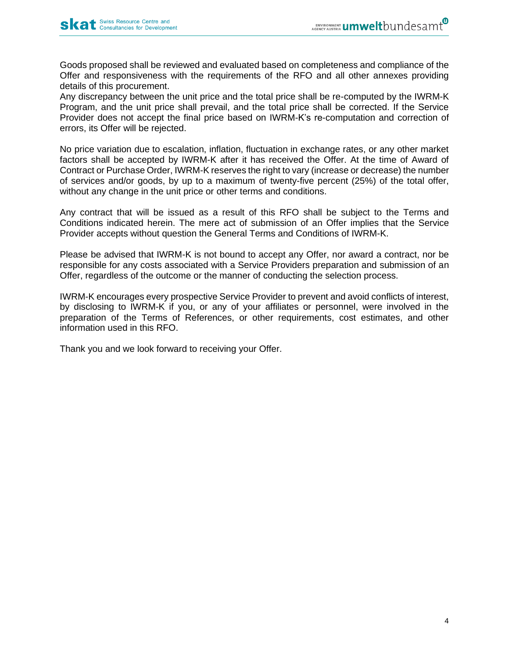Goods proposed shall be reviewed and evaluated based on completeness and compliance of the Offer and responsiveness with the requirements of the RFO and all other annexes providing details of this procurement.

Any discrepancy between the unit price and the total price shall be re-computed by the IWRM-K Program, and the unit price shall prevail, and the total price shall be corrected. If the Service Provider does not accept the final price based on IWRM-K's re-computation and correction of errors, its Offer will be rejected.

No price variation due to escalation, inflation, fluctuation in exchange rates, or any other market factors shall be accepted by IWRM-K after it has received the Offer. At the time of Award of Contract or Purchase Order, IWRM-K reserves the right to vary (increase or decrease) the number of services and/or goods, by up to a maximum of twenty-five percent (25%) of the total offer, without any change in the unit price or other terms and conditions.

Any contract that will be issued as a result of this RFO shall be subject to the Terms and Conditions indicated herein. The mere act of submission of an Offer implies that the Service Provider accepts without question the General Terms and Conditions of IWRM-K.

Please be advised that IWRM-K is not bound to accept any Offer, nor award a contract, nor be responsible for any costs associated with a Service Providers preparation and submission of an Offer, regardless of the outcome or the manner of conducting the selection process.

IWRM-K encourages every prospective Service Provider to prevent and avoid conflicts of interest, by disclosing to IWRM-K if you, or any of your affiliates or personnel, were involved in the preparation of the Terms of References, or other requirements, cost estimates, and other information used in this RFO.

Thank you and we look forward to receiving your Offer.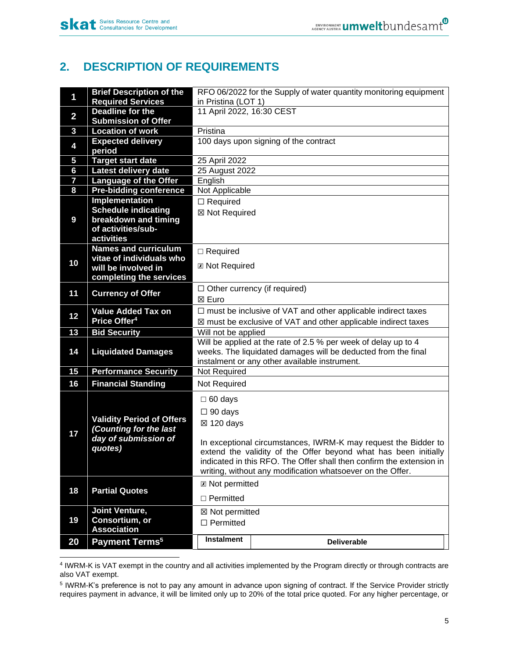# <span id="page-4-0"></span>**2. DESCRIPTION OF REQUIREMENTS**

| 1                       | <b>Brief Description of the</b><br><b>Required Services</b>                                   | in Pristina (LOT 1)                                                                                                                                                                                                                                                                                                                 | RFO 06/2022 for the Supply of water quantity monitoring equipment                                                               |  |  |
|-------------------------|-----------------------------------------------------------------------------------------------|-------------------------------------------------------------------------------------------------------------------------------------------------------------------------------------------------------------------------------------------------------------------------------------------------------------------------------------|---------------------------------------------------------------------------------------------------------------------------------|--|--|
|                         | <b>Deadline for the</b>                                                                       |                                                                                                                                                                                                                                                                                                                                     |                                                                                                                                 |  |  |
| $\overline{\mathbf{2}}$ | <b>Submission of Offer</b>                                                                    | 11 April 2022, 16:30 CEST                                                                                                                                                                                                                                                                                                           |                                                                                                                                 |  |  |
| 3                       | <b>Location of work</b>                                                                       | Pristina                                                                                                                                                                                                                                                                                                                            |                                                                                                                                 |  |  |
| 4                       | <b>Expected delivery</b><br>period                                                            |                                                                                                                                                                                                                                                                                                                                     | 100 days upon signing of the contract                                                                                           |  |  |
| 5                       | <b>Target start date</b>                                                                      | 25 April 2022                                                                                                                                                                                                                                                                                                                       |                                                                                                                                 |  |  |
| 6                       | Latest delivery date                                                                          | 25 August 2022                                                                                                                                                                                                                                                                                                                      |                                                                                                                                 |  |  |
| $\overline{\mathbf{z}}$ | <b>Language of the Offer</b>                                                                  | English                                                                                                                                                                                                                                                                                                                             |                                                                                                                                 |  |  |
| 8                       | <b>Pre-bidding conference</b>                                                                 | Not Applicable                                                                                                                                                                                                                                                                                                                      |                                                                                                                                 |  |  |
|                         | <b>Implementation</b>                                                                         | $\Box$ Required                                                                                                                                                                                                                                                                                                                     |                                                                                                                                 |  |  |
|                         | <b>Schedule indicating</b>                                                                    | ⊠ Not Required                                                                                                                                                                                                                                                                                                                      |                                                                                                                                 |  |  |
| 9                       | breakdown and timing                                                                          |                                                                                                                                                                                                                                                                                                                                     |                                                                                                                                 |  |  |
|                         | of activities/sub-                                                                            |                                                                                                                                                                                                                                                                                                                                     |                                                                                                                                 |  |  |
|                         | activities                                                                                    |                                                                                                                                                                                                                                                                                                                                     |                                                                                                                                 |  |  |
|                         | <b>Names and curriculum</b><br>vitae of individuals who                                       | $\Box$ Required                                                                                                                                                                                                                                                                                                                     |                                                                                                                                 |  |  |
| 10                      | will be involved in                                                                           | <b>Z</b> Not Required                                                                                                                                                                                                                                                                                                               |                                                                                                                                 |  |  |
|                         | completing the services                                                                       |                                                                                                                                                                                                                                                                                                                                     |                                                                                                                                 |  |  |
|                         |                                                                                               |                                                                                                                                                                                                                                                                                                                                     | $\Box$ Other currency (if required)                                                                                             |  |  |
| 11                      | <b>Currency of Offer</b>                                                                      | ⊠ Euro                                                                                                                                                                                                                                                                                                                              |                                                                                                                                 |  |  |
|                         | <b>Value Added Tax on</b>                                                                     |                                                                                                                                                                                                                                                                                                                                     | $\Box$ must be inclusive of VAT and other applicable indirect taxes                                                             |  |  |
| 12                      | Price Offer <sup>4</sup>                                                                      |                                                                                                                                                                                                                                                                                                                                     | $\boxtimes$ must be exclusive of VAT and other applicable indirect taxes                                                        |  |  |
| 13                      | <b>Bid Security</b>                                                                           | Will not be applied                                                                                                                                                                                                                                                                                                                 |                                                                                                                                 |  |  |
| 14                      | <b>Liquidated Damages</b>                                                                     |                                                                                                                                                                                                                                                                                                                                     | Will be applied at the rate of 2.5 % per week of delay up to 4<br>weeks. The liquidated damages will be deducted from the final |  |  |
| 15                      | <b>Performance Security</b>                                                                   | Not Required                                                                                                                                                                                                                                                                                                                        | instalment or any other available instrument.                                                                                   |  |  |
|                         |                                                                                               |                                                                                                                                                                                                                                                                                                                                     |                                                                                                                                 |  |  |
| 16                      | <b>Financial Standing</b>                                                                     | Not Required                                                                                                                                                                                                                                                                                                                        |                                                                                                                                 |  |  |
| 17                      | <b>Validity Period of Offers</b><br>(Counting for the last<br>day of submission of<br>quotes) | $\Box$ 60 days<br>$\Box$ 90 days<br>$\boxtimes$ 120 days<br>In exceptional circumstances, IWRM-K may request the Bidder to<br>extend the validity of the Offer beyond what has been initially<br>indicated in this RFO. The Offer shall then confirm the extension in<br>writing, without any modification whatsoever on the Offer. |                                                                                                                                 |  |  |
| 18                      | <b>Partial Quotes</b>                                                                         | <b>⊠ Not permitted</b>                                                                                                                                                                                                                                                                                                              |                                                                                                                                 |  |  |
|                         |                                                                                               | $\Box$ Permitted                                                                                                                                                                                                                                                                                                                    |                                                                                                                                 |  |  |
| 19                      | <b>Joint Venture,</b><br>Consortium, or<br><b>Association</b>                                 | ⊠ Not permitted<br>$\Box$ Permitted                                                                                                                                                                                                                                                                                                 |                                                                                                                                 |  |  |
| 20                      | Payment Terms <sup>5</sup>                                                                    | <b>Instalment</b>                                                                                                                                                                                                                                                                                                                   | <b>Deliverable</b>                                                                                                              |  |  |

4 IWRM-K is VAT exempt in the country and all activities implemented by the Program directly or through contracts are also VAT exempt.

<sup>5</sup> IWRM-K's preference is not to pay any amount in advance upon signing of contract. If the Service Provider strictly requires payment in advance, it will be limited only up to 20% of the total price quoted. For any higher percentage, or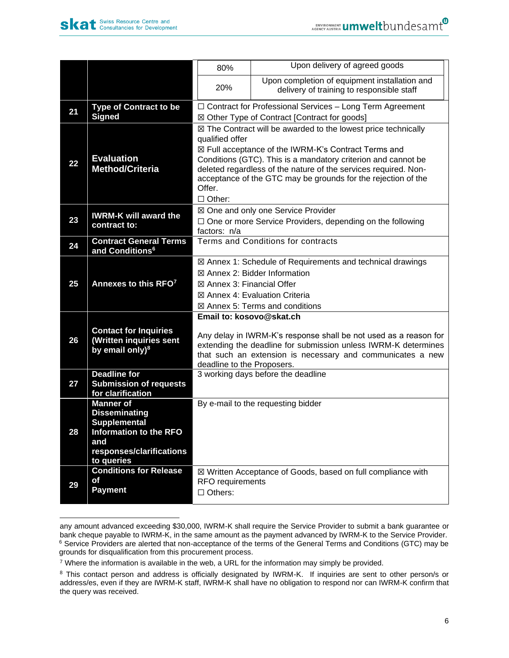

|    |                                                                                                                                                   | 80%                                                                                                                                                                                                                                                                                                                                                                                 | Upon delivery of agreed goods                                                                                    |  |
|----|---------------------------------------------------------------------------------------------------------------------------------------------------|-------------------------------------------------------------------------------------------------------------------------------------------------------------------------------------------------------------------------------------------------------------------------------------------------------------------------------------------------------------------------------------|------------------------------------------------------------------------------------------------------------------|--|
|    |                                                                                                                                                   | 20%                                                                                                                                                                                                                                                                                                                                                                                 | Upon completion of equipment installation and<br>delivery of training to responsible staff                       |  |
| 21 | <b>Type of Contract to be</b><br>Signed                                                                                                           |                                                                                                                                                                                                                                                                                                                                                                                     | $\Box$ Contract for Professional Services - Long Term Agreement<br>⊠ Other Type of Contract [Contract for goods] |  |
| 22 | <b>Evaluation</b><br><b>Method/Criteria</b>                                                                                                       | $\boxtimes$ The Contract will be awarded to the lowest price technically<br>qualified offer<br>⊠ Full acceptance of the IWRM-K's Contract Terms and<br>Conditions (GTC). This is a mandatory criterion and cannot be<br>deleted regardless of the nature of the services required. Non-<br>acceptance of the GTC may be grounds for the rejection of the<br>Offer.<br>$\Box$ Other: |                                                                                                                  |  |
| 23 | <b>IWRM-K will award the</b><br>contract to:                                                                                                      | ⊠ One and only one Service Provider<br>$\Box$ One or more Service Providers, depending on the following<br>factors: n/a                                                                                                                                                                                                                                                             |                                                                                                                  |  |
| 24 | <b>Contract General Terms</b><br>and Conditions <sup>6</sup>                                                                                      | Terms and Conditions for contracts                                                                                                                                                                                                                                                                                                                                                  |                                                                                                                  |  |
| 25 | Annexes to this RFO7                                                                                                                              | ⊠ Annex 1: Schedule of Requirements and technical drawings<br>$\boxtimes$ Annex 2: Bidder Information<br>⊠ Annex 3: Financial Offer<br>⊠ Annex 4: Evaluation Criteria<br>$\boxtimes$ Annex 5: Terms and conditions                                                                                                                                                                  |                                                                                                                  |  |
| 26 | <b>Contact for Inquiries</b><br>(Written inquiries sent<br>by email only) <sup>8</sup>                                                            | Email to: kosovo@skat.ch<br>Any delay in IWRM-K's response shall be not used as a reason for<br>extending the deadline for submission unless IWRM-K determines<br>that such an extension is necessary and communicates a new<br>deadline to the Proposers.                                                                                                                          |                                                                                                                  |  |
| 27 | <b>Deadline for</b><br><b>Submission of requests</b><br>for clarification                                                                         | 3 working days before the deadline                                                                                                                                                                                                                                                                                                                                                  |                                                                                                                  |  |
| 28 | <b>Manner of</b><br><b>Disseminating</b><br><b>Supplemental</b><br><b>Information to the RFO</b><br>and<br>responses/clarifications<br>to queries |                                                                                                                                                                                                                                                                                                                                                                                     | By e-mail to the requesting bidder                                                                               |  |
| 29 | <b>Conditions for Release</b><br>of<br><b>Payment</b>                                                                                             | ⊠ Written Acceptance of Goods, based on full compliance with<br>RFO requirements<br>$\Box$ Others:                                                                                                                                                                                                                                                                                  |                                                                                                                  |  |

any amount advanced exceeding \$30,000, IWRM-K shall require the Service Provider to submit a bank guarantee or bank cheque payable to IWRM-K, in the same amount as the payment advanced by IWRM-K to the Service Provider. <sup>6</sup> Service Providers are alerted that non-acceptance of the terms of the General Terms and Conditions (GTC) may be grounds for disqualification from this procurement process.

 $7$  Where the information is available in the web, a URL for the information may simply be provided.

<sup>&</sup>lt;sup>8</sup> This contact person and address is officially designated by IWRM-K. If inquiries are sent to other person/s or address/es, even if they are IWRM-K staff, IWRM-K shall have no obligation to respond nor can IWRM-K confirm that the query was received.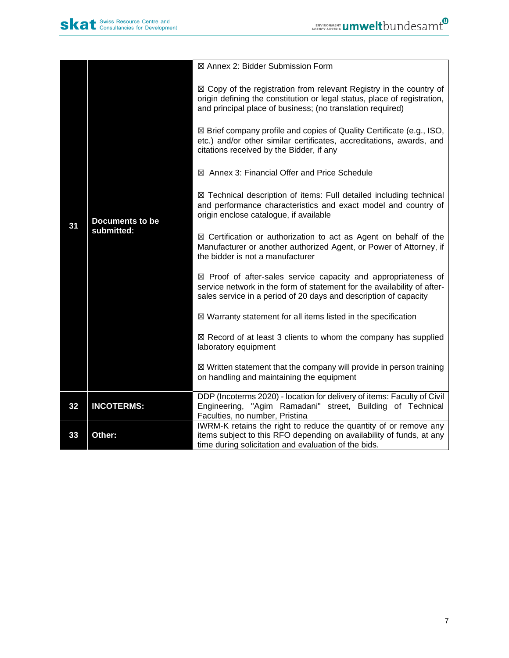|    |                                      | ⊠ Annex 2: Bidder Submission Form                                                                                                                                                                                       |
|----|--------------------------------------|-------------------------------------------------------------------------------------------------------------------------------------------------------------------------------------------------------------------------|
|    | <b>Documents to be</b><br>submitted: | $\boxtimes$ Copy of the registration from relevant Registry in the country of<br>origin defining the constitution or legal status, place of registration,<br>and principal place of business; (no translation required) |
|    |                                      | ⊠ Brief company profile and copies of Quality Certificate (e.g., ISO,<br>etc.) and/or other similar certificates, accreditations, awards, and<br>citations received by the Bidder, if any                               |
|    |                                      | ⊠ Annex 3: Financial Offer and Price Schedule                                                                                                                                                                           |
| 31 |                                      | ⊠ Technical description of items: Full detailed including technical<br>and performance characteristics and exact model and country of<br>origin enclose catalogue, if available                                         |
|    |                                      | $\boxtimes$ Certification or authorization to act as Agent on behalf of the<br>Manufacturer or another authorized Agent, or Power of Attorney, if<br>the bidder is not a manufacturer                                   |
|    |                                      | $\boxtimes$ Proof of after-sales service capacity and appropriateness of<br>service network in the form of statement for the availability of after-<br>sales service in a period of 20 days and description of capacity |
|    |                                      | $\boxtimes$ Warranty statement for all items listed in the specification                                                                                                                                                |
|    |                                      | $\boxtimes$ Record of at least 3 clients to whom the company has supplied<br>laboratory equipment                                                                                                                       |
|    |                                      | $\boxtimes$ Written statement that the company will provide in person training<br>on handling and maintaining the equipment                                                                                             |
| 32 | <b>INCOTERMS:</b>                    | DDP (Incoterms 2020) - location for delivery of items: Faculty of Civil<br>Engineering, "Agim Ramadani" street, Building of Technical<br>Faculties, no number, Pristina                                                 |
| 33 | Other:                               | IWRM-K retains the right to reduce the quantity of or remove any<br>items subject to this RFO depending on availability of funds, at any<br>time during solicitation and evaluation of the bids.                        |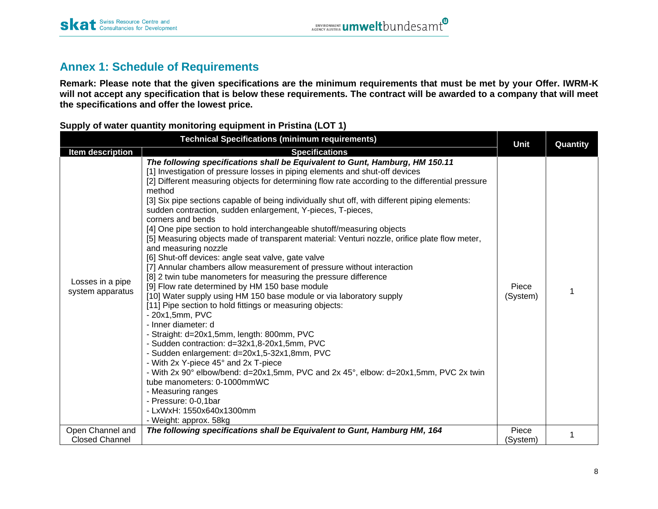# **Annex 1: Schedule of Requirements**

**Remark: Please note that the given specifications are the minimum requirements that must be met by your Offer. IWRM-K will not accept any specification that is below these requirements. The contract will be awarded to a company that will meet the specifications and offer the lowest price.**

<span id="page-7-0"></span>

| <b>Technical Specifications (minimum requirements)</b> |                                                                                                                                                                                                                                                                                                                                                                                                                                                                                                                                                                                                                                                                                                                                                                                                                                                                                                                                                                                                                                                                                                                                                                                                                                                                                                                                                                                                                                                                                                                        |                   | Quantity |  |
|--------------------------------------------------------|------------------------------------------------------------------------------------------------------------------------------------------------------------------------------------------------------------------------------------------------------------------------------------------------------------------------------------------------------------------------------------------------------------------------------------------------------------------------------------------------------------------------------------------------------------------------------------------------------------------------------------------------------------------------------------------------------------------------------------------------------------------------------------------------------------------------------------------------------------------------------------------------------------------------------------------------------------------------------------------------------------------------------------------------------------------------------------------------------------------------------------------------------------------------------------------------------------------------------------------------------------------------------------------------------------------------------------------------------------------------------------------------------------------------------------------------------------------------------------------------------------------------|-------------------|----------|--|
| <b>Item description</b>                                | <b>Specifications</b>                                                                                                                                                                                                                                                                                                                                                                                                                                                                                                                                                                                                                                                                                                                                                                                                                                                                                                                                                                                                                                                                                                                                                                                                                                                                                                                                                                                                                                                                                                  | <b>Unit</b>       |          |  |
| Losses in a pipe<br>system apparatus                   | The following specifications shall be Equivalent to Gunt, Hamburg, HM 150.11<br>[1] Investigation of pressure losses in piping elements and shut-off devices<br>[2] Different measuring objects for determining flow rate according to the differential pressure<br>method<br>[3] Six pipe sections capable of being individually shut off, with different piping elements:<br>sudden contraction, sudden enlargement, Y-pieces, T-pieces,<br>corners and bends<br>[4] One pipe section to hold interchangeable shutoff/measuring objects<br>[5] Measuring objects made of transparent material: Venturi nozzle, orifice plate flow meter,<br>and measuring nozzle<br>[6] Shut-off devices: angle seat valve, gate valve<br>[7] Annular chambers allow measurement of pressure without interaction<br>[8] 2 twin tube manometers for measuring the pressure difference<br>[9] Flow rate determined by HM 150 base module<br>[10] Water supply using HM 150 base module or via laboratory supply<br>[11] Pipe section to hold fittings or measuring objects:<br>- 20x1,5mm, PVC<br>- Inner diameter: d<br>- Straight: d=20x1,5mm, length: 800mm, PVC<br>- Sudden contraction: d=32x1,8-20x1,5mm, PVC<br>- Sudden enlargement: d=20x1,5-32x1,8mm, PVC<br>- With 2x Y-piece 45° and 2x T-piece<br>- With 2x 90° elbow/bend: d=20x1,5mm, PVC and 2x 45°, elbow: d=20x1,5mm, PVC 2x twin<br>tube manometers: 0-1000mmWC<br>- Measuring ranges<br>- Pressure: 0-0,1bar<br>- LxWxH: 1550x640x1300mm<br>- Weight: approx. 58kg | Piece<br>(System) |          |  |
| Open Channel and<br><b>Closed Channel</b>              | The following specifications shall be Equivalent to Gunt, Hamburg HM, 164                                                                                                                                                                                                                                                                                                                                                                                                                                                                                                                                                                                                                                                                                                                                                                                                                                                                                                                                                                                                                                                                                                                                                                                                                                                                                                                                                                                                                                              | Piece<br>(System) |          |  |

**Supply of water quantity monitoring equipment in Pristina (LOT 1)**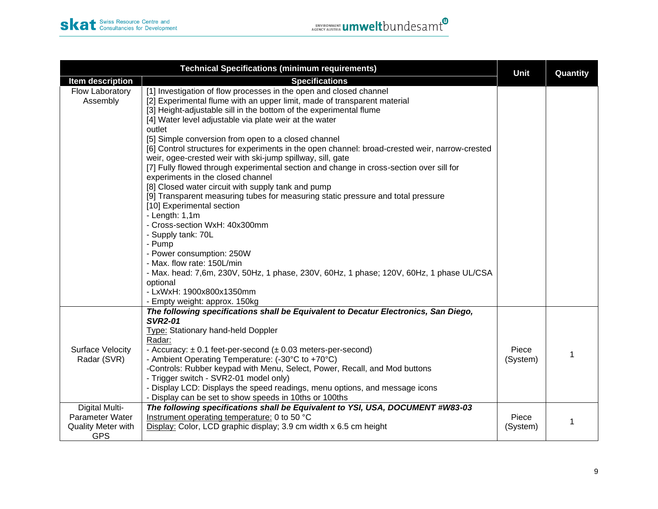| <b>Technical Specifications (minimum requirements)</b>                       |                                                                                                                                                                                                                                                                                                                                                                                                                                                                                                                                                                                                                                                                                                                                                                                                                                                                                                                                                                                                                                                                                                                                            |                   | Quantity |
|------------------------------------------------------------------------------|--------------------------------------------------------------------------------------------------------------------------------------------------------------------------------------------------------------------------------------------------------------------------------------------------------------------------------------------------------------------------------------------------------------------------------------------------------------------------------------------------------------------------------------------------------------------------------------------------------------------------------------------------------------------------------------------------------------------------------------------------------------------------------------------------------------------------------------------------------------------------------------------------------------------------------------------------------------------------------------------------------------------------------------------------------------------------------------------------------------------------------------------|-------------------|----------|
| Item description                                                             | <b>Specifications</b>                                                                                                                                                                                                                                                                                                                                                                                                                                                                                                                                                                                                                                                                                                                                                                                                                                                                                                                                                                                                                                                                                                                      | Unit              |          |
| Flow Laboratory<br>Assembly                                                  | [1] Investigation of flow processes in the open and closed channel<br>[2] Experimental flume with an upper limit, made of transparent material<br>[3] Height-adjustable sill in the bottom of the experimental flume<br>[4] Water level adjustable via plate weir at the water<br>outlet<br>[5] Simple conversion from open to a closed channel<br>[6] Control structures for experiments in the open channel: broad-crested weir, narrow-crested<br>weir, ogee-crested weir with ski-jump spillway, sill, gate<br>[7] Fully flowed through experimental section and change in cross-section over sill for<br>experiments in the closed channel<br>[8] Closed water circuit with supply tank and pump<br>[9] Transparent measuring tubes for measuring static pressure and total pressure<br>[10] Experimental section<br>$-$ Length: 1,1m<br>- Cross-section WxH: 40x300mm<br>- Supply tank: 70L<br>- Pump<br>- Power consumption: 250W<br>- Max. flow rate: 150L/min<br>- Max. head: 7,6m, 230V, 50Hz, 1 phase, 230V, 60Hz, 1 phase; 120V, 60Hz, 1 phase UL/CSA<br>optional<br>- LxWxH: 1900x800x1350mm<br>- Empty weight: approx. 150kg |                   |          |
| <b>Surface Velocity</b><br>Radar (SVR)                                       | The following specifications shall be Equivalent to Decatur Electronics, San Diego,<br><b>SVR2-01</b><br>Type: Stationary hand-held Doppler<br>Radar:<br>- Accuracy: $\pm$ 0.1 feet-per-second ( $\pm$ 0.03 meters-per-second)<br>- Ambient Operating Temperature: (-30°C to +70°C)<br>-Controls: Rubber keypad with Menu, Select, Power, Recall, and Mod buttons<br>- Trigger switch - SVR2-01 model only)<br>- Display LCD: Displays the speed readings, menu options, and message icons<br>- Display can be set to show speeds in 10ths or 100ths                                                                                                                                                                                                                                                                                                                                                                                                                                                                                                                                                                                       | Piece<br>(System) |          |
| <b>Digital Multi-</b><br>Parameter Water<br>Quality Meter with<br><b>GPS</b> | The following specifications shall be Equivalent to YSI, USA, DOCUMENT #W83-03<br>Instrument operating temperature: 0 to 50 °C<br>Display: Color, LCD graphic display; 3.9 cm width x 6.5 cm height                                                                                                                                                                                                                                                                                                                                                                                                                                                                                                                                                                                                                                                                                                                                                                                                                                                                                                                                        | Piece<br>(System) |          |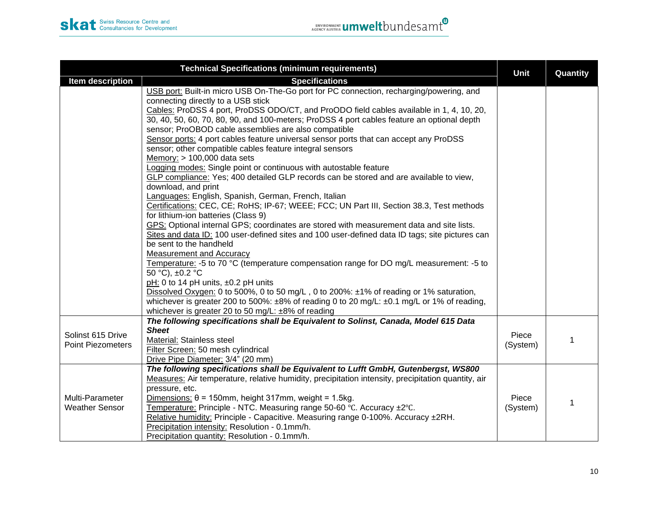| <b>Technical Specifications (minimum requirements)</b> |                                                                                                                                                                                            |             | Quantity |
|--------------------------------------------------------|--------------------------------------------------------------------------------------------------------------------------------------------------------------------------------------------|-------------|----------|
| Item description                                       | <b>Specifications</b>                                                                                                                                                                      | <b>Unit</b> |          |
|                                                        | USB port: Built-in micro USB On-The-Go port for PC connection, recharging/powering, and                                                                                                    |             |          |
|                                                        | connecting directly to a USB stick                                                                                                                                                         |             |          |
|                                                        | Cables: ProDSS 4 port, ProDSS ODO/CT, and ProODO field cables available in 1, 4, 10, 20,                                                                                                   |             |          |
|                                                        | 30, 40, 50, 60, 70, 80, 90, and 100-meters; ProDSS 4 port cables feature an optional depth                                                                                                 |             |          |
|                                                        | sensor; ProOBOD cable assemblies are also compatible                                                                                                                                       |             |          |
|                                                        | Sensor ports: 4 port cables feature universal sensor ports that can accept any ProDSS                                                                                                      |             |          |
|                                                        | sensor; other compatible cables feature integral sensors                                                                                                                                   |             |          |
|                                                        | Memory: $> 100,000$ data sets                                                                                                                                                              |             |          |
|                                                        | Logging modes: Single point or continuous with autostable feature                                                                                                                          |             |          |
|                                                        | GLP compliance: Yes; 400 detailed GLP records can be stored and are available to view,                                                                                                     |             |          |
|                                                        | download, and print                                                                                                                                                                        |             |          |
|                                                        | Languages: English, Spanish, German, French, Italian                                                                                                                                       |             |          |
|                                                        | Certifications: CEC, CE; RoHS; IP-67; WEEE; FCC; UN Part III, Section 38.3, Test methods                                                                                                   |             |          |
|                                                        | for lithium-ion batteries (Class 9)                                                                                                                                                        |             |          |
|                                                        | GPS: Optional internal GPS; coordinates are stored with measurement data and site lists.<br>Sites and data ID: 100 user-defined sites and 100 user-defined data ID tags; site pictures can |             |          |
|                                                        | be sent to the handheld                                                                                                                                                                    |             |          |
|                                                        | Measurement and Accuracy                                                                                                                                                                   |             |          |
|                                                        | Temperature: -5 to 70 °C (temperature compensation range for DO mg/L measurement: -5 to                                                                                                    |             |          |
|                                                        | 50 °C), ±0.2 °C                                                                                                                                                                            |             |          |
|                                                        | pH: 0 to 14 pH units, ±0.2 pH units                                                                                                                                                        |             |          |
|                                                        | Dissolved Oxygen: 0 to 500%, 0 to 50 mg/L, 0 to 200%: ±1% of reading or 1% saturation,                                                                                                     |             |          |
|                                                        | whichever is greater 200 to 500%: $\pm 8\%$ of reading 0 to 20 mg/L: $\pm 0.1$ mg/L or 1% of reading,                                                                                      |             |          |
|                                                        | whichever is greater 20 to 50 mg/L: ±8% of reading                                                                                                                                         |             |          |
|                                                        | The following specifications shall be Equivalent to Solinst, Canada, Model 615 Data                                                                                                        |             |          |
|                                                        | <b>Sheet</b>                                                                                                                                                                               |             |          |
| Solinst 615 Drive                                      | Material: Stainless steel                                                                                                                                                                  | Piece       |          |
| <b>Point Piezometers</b>                               | Filter Screen: 50 mesh cylindrical                                                                                                                                                         | (System)    |          |
|                                                        | Drive Pipe Diameter: 3/4" (20 mm)                                                                                                                                                          |             |          |
|                                                        | The following specifications shall be Equivalent to Lufft GmbH, Gutenbergst, WS800                                                                                                         |             |          |
|                                                        | Measures: Air temperature, relative humidity, precipitation intensity, precipitation quantity, air                                                                                         |             |          |
|                                                        | pressure, etc.                                                                                                                                                                             |             |          |
| Multi-Parameter                                        | Dimensions: $\theta$ = 150mm, height 317mm, weight = 1.5kg.                                                                                                                                | Piece       |          |
| <b>Weather Sensor</b>                                  | Temperature: Principle - NTC. Measuring range 50-60 °C. Accuracy ±2°C.                                                                                                                     | (System)    |          |
|                                                        | Relative humidity: Principle - Capacitive. Measuring range 0-100%. Accuracy ±2RH.                                                                                                          |             |          |
|                                                        | Precipitation intensity: Resolution - 0.1mm/h.                                                                                                                                             |             |          |
|                                                        | Precipitation quantity: Resolution - 0.1mm/h.                                                                                                                                              |             |          |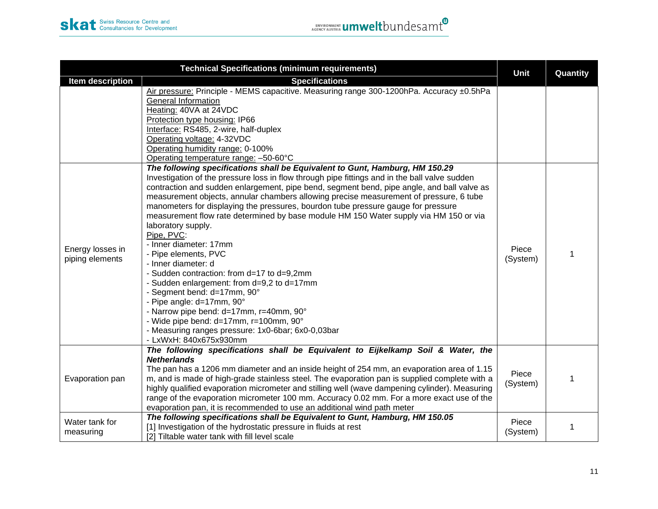| <b>Technical Specifications (minimum requirements)</b> |                                                                                                                                                                                                                                                                                                                                                                                                                                                                                                                                                                                                                                                                                                                                                                                                                                                                                                                                                                                               |                   | Quantity |
|--------------------------------------------------------|-----------------------------------------------------------------------------------------------------------------------------------------------------------------------------------------------------------------------------------------------------------------------------------------------------------------------------------------------------------------------------------------------------------------------------------------------------------------------------------------------------------------------------------------------------------------------------------------------------------------------------------------------------------------------------------------------------------------------------------------------------------------------------------------------------------------------------------------------------------------------------------------------------------------------------------------------------------------------------------------------|-------------------|----------|
| Item description                                       | <b>Specifications</b>                                                                                                                                                                                                                                                                                                                                                                                                                                                                                                                                                                                                                                                                                                                                                                                                                                                                                                                                                                         | Unit              |          |
|                                                        | Air pressure: Principle - MEMS capacitive. Measuring range 300-1200hPa. Accuracy ±0.5hPa<br><b>General Information</b><br>Heating: 40VA at 24VDC<br>Protection type housing: IP66<br>Interface: RS485, 2-wire, half-duplex<br>Operating voltage: 4-32VDC<br>Operating humidity range: 0-100%<br>Operating temperature range: -50-60°C                                                                                                                                                                                                                                                                                                                                                                                                                                                                                                                                                                                                                                                         |                   |          |
| Energy losses in<br>piping elements                    | The following specifications shall be Equivalent to Gunt, Hamburg, HM 150.29<br>Investigation of the pressure loss in flow through pipe fittings and in the ball valve sudden<br>contraction and sudden enlargement, pipe bend, segment bend, pipe angle, and ball valve as<br>measurement objects, annular chambers allowing precise measurement of pressure, 6 tube<br>manometers for displaying the pressures, bourdon tube pressure gauge for pressure<br>measurement flow rate determined by base module HM 150 Water supply via HM 150 or via<br>laboratory supply.<br>Pipe, PVC:<br>- Inner diameter: 17mm<br>- Pipe elements, PVC<br>- Inner diameter: d<br>- Sudden contraction: from d=17 to d=9,2mm<br>- Sudden enlargement: from d=9,2 to d=17mm<br>- Segment bend: d=17mm, 90°<br>- Pipe angle: d=17mm, 90°<br>- Narrow pipe bend: d=17mm, r=40mm, 90°<br>- Wide pipe bend: d=17mm, r=100mm, 90°<br>- Measuring ranges pressure: 1x0-6bar; 6x0-0,03bar<br>- LxWxH: 840x675x930mm | Piece<br>(System) |          |
| Evaporation pan                                        | The following specifications shall be Equivalent to Eijkelkamp Soil & Water, the<br><b>Netherlands</b><br>The pan has a 1206 mm diameter and an inside height of 254 mm, an evaporation area of 1.15<br>m, and is made of high-grade stainless steel. The evaporation pan is supplied complete with a<br>highly qualified evaporation micrometer and stilling well (wave dampening cylinder). Measuring<br>range of the evaporation micrometer 100 mm. Accuracy 0.02 mm. For a more exact use of the<br>evaporation pan, it is recommended to use an additional wind path meter                                                                                                                                                                                                                                                                                                                                                                                                               | Piece<br>(System) |          |
| Water tank for<br>measuring                            | The following specifications shall be Equivalent to Gunt, Hamburg, HM 150.05<br>[1] Investigation of the hydrostatic pressure in fluids at rest<br>[2] Tiltable water tank with fill level scale                                                                                                                                                                                                                                                                                                                                                                                                                                                                                                                                                                                                                                                                                                                                                                                              | Piece<br>(System) | 1        |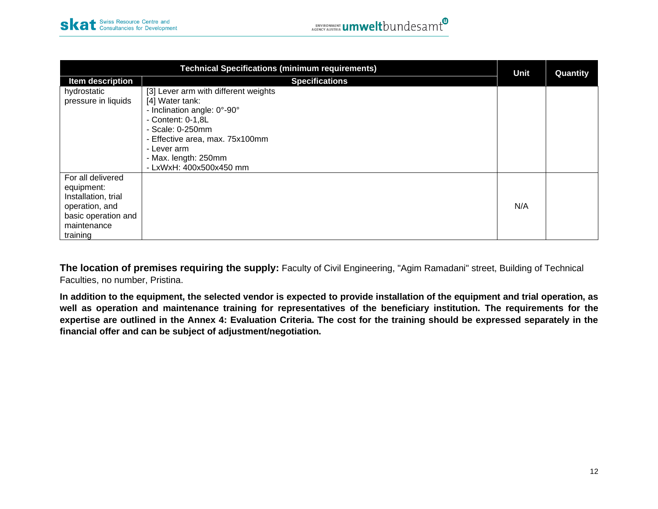| <b>Technical Specifications (minimum requirements)</b>                                                                     |                                                                                                                                                                                                                                      |      | Quantity |
|----------------------------------------------------------------------------------------------------------------------------|--------------------------------------------------------------------------------------------------------------------------------------------------------------------------------------------------------------------------------------|------|----------|
| Item description                                                                                                           | <b>Specifications</b>                                                                                                                                                                                                                | Unit |          |
| hydrostatic<br>pressure in liquids                                                                                         | [3] Lever arm with different weights<br>[4] Water tank:<br>- Inclination angle: 0°-90°<br>- Content: 0-1,8L<br>- Scale: 0-250mm<br>- Effective area, max. 75x100mm<br>- Lever arm<br>- Max. length: 250mm<br>- LxWxH: 400x500x450 mm |      |          |
| For all delivered<br>equipment:<br>Installation, trial<br>operation, and<br>basic operation and<br>maintenance<br>training |                                                                                                                                                                                                                                      | N/A  |          |

**The location of premises requiring the supply:** Faculty of Civil Engineering, "Agim Ramadani" street, Building of Technical Faculties, no number, Pristina.

**In addition to the equipment, the selected vendor is expected to provide installation of the equipment and trial operation, as well as operation and maintenance training for representatives of the beneficiary institution. The requirements for the expertise are outlined in the Annex 4: Evaluation Criteria. The cost for the training should be expressed separately in the financial offer and can be subject of adjustment/negotiation.**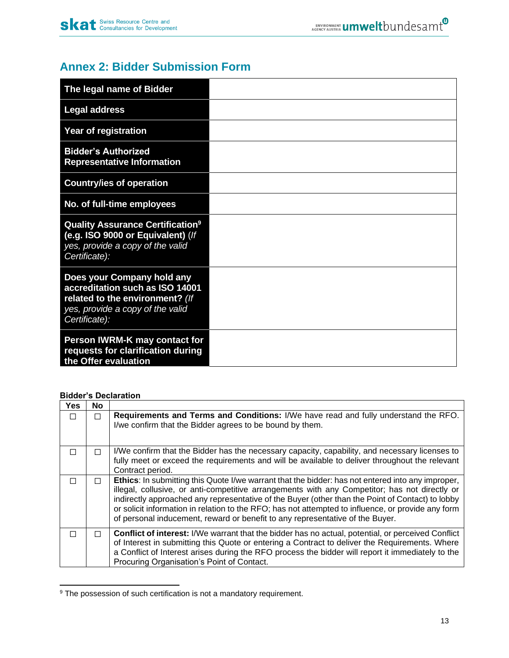# <span id="page-12-0"></span>**Annex 2: Bidder Submission Form**

| The legal name of Bidder                                                                                                                              |  |
|-------------------------------------------------------------------------------------------------------------------------------------------------------|--|
| <b>Legal address</b>                                                                                                                                  |  |
| <b>Year of registration</b>                                                                                                                           |  |
| <b>Bidder's Authorized</b><br><b>Representative Information</b>                                                                                       |  |
| <b>Country/ies of operation</b>                                                                                                                       |  |
| No. of full-time employees                                                                                                                            |  |
| <b>Quality Assurance Certification</b> <sup>9</sup><br>(e.g. ISO 9000 or Equivalent) (If<br>yes, provide a copy of the valid<br>Certificate):         |  |
| Does your Company hold any<br>accreditation such as ISO 14001<br>related to the environment? (If<br>yes, provide a copy of the valid<br>Certificate): |  |
| Person IWRM-K may contact for<br>requests for clarification during<br>the Offer evaluation                                                            |  |

## **Bidder's Declaration**

| <b>Yes</b> | <b>No</b> |                                                                                                                                                                                                                                                                                                                                                                                                                                                                                                      |
|------------|-----------|------------------------------------------------------------------------------------------------------------------------------------------------------------------------------------------------------------------------------------------------------------------------------------------------------------------------------------------------------------------------------------------------------------------------------------------------------------------------------------------------------|
| П          | П         | Requirements and Terms and Conditions: I/We have read and fully understand the RFO.<br>I/we confirm that the Bidder agrees to be bound by them.                                                                                                                                                                                                                                                                                                                                                      |
| П          | П         | I/We confirm that the Bidder has the necessary capacity, capability, and necessary licenses to<br>fully meet or exceed the requirements and will be available to deliver throughout the relevant<br>Contract period.                                                                                                                                                                                                                                                                                 |
| П          | п         | <b>Ethics:</b> In submitting this Quote I/we warrant that the bidder: has not entered into any improper,<br>illegal, collusive, or anti-competitive arrangements with any Competitor; has not directly or<br>indirectly approached any representative of the Buyer (other than the Point of Contact) to lobby<br>or solicit information in relation to the RFO; has not attempted to influence, or provide any form<br>of personal inducement, reward or benefit to any representative of the Buyer. |
| □          | П         | <b>Conflict of interest:</b> I/We warrant that the bidder has no actual, potential, or perceived Conflict<br>of Interest in submitting this Quote or entering a Contract to deliver the Requirements. Where<br>a Conflict of Interest arises during the RFO process the bidder will report it immediately to the<br>Procuring Organisation's Point of Contact.                                                                                                                                       |

<sup>&</sup>lt;sup>9</sup> The possession of such certification is not a mandatory requirement.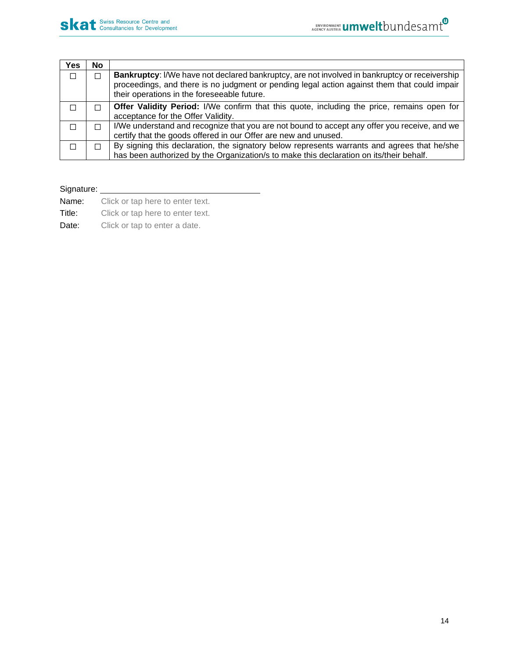| Yes    | <b>No</b> |                                                                                                                                                                                                                                              |
|--------|-----------|----------------------------------------------------------------------------------------------------------------------------------------------------------------------------------------------------------------------------------------------|
| $\Box$ |           | Bankruptcy: I/We have not declared bankruptcy, are not involved in bankruptcy or receivership<br>proceedings, and there is no judgment or pending legal action against them that could impair<br>their operations in the foreseeable future. |
| П      |           | <b>Offer Validity Period:</b> I/We confirm that this quote, including the price, remains open for<br>acceptance for the Offer Validity.                                                                                                      |
| П      |           | I/We understand and recognize that you are not bound to accept any offer you receive, and we<br>certify that the goods offered in our Offer are new and unused.                                                                              |
|        |           | By signing this declaration, the signatory below represents warrants and agrees that he/she<br>has been authorized by the Organization/s to make this declaration on its/their behalf.                                                       |

# Signature:

Name: Click or tap here to enter text.

Title: Click or tap here to enter text.

Date: Click or tap to enter a date.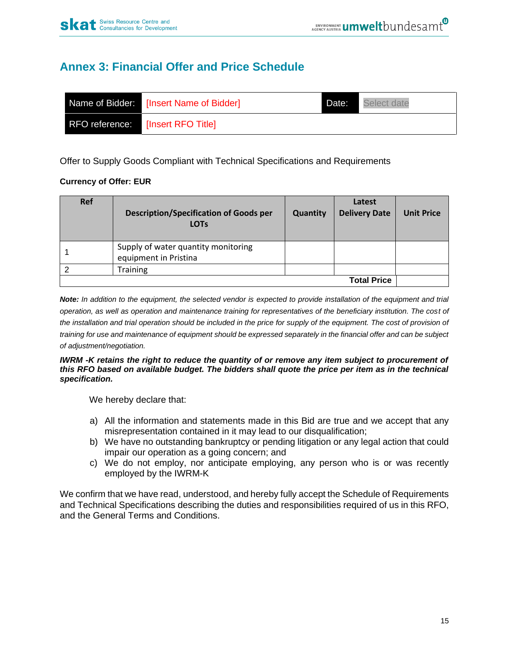# **Annex 3: Financial Offer and Price Schedule**

|                | Name of Bidder: [Insert Name of Bidder] | Date: | Select date |
|----------------|-----------------------------------------|-------|-------------|
| RFO reference: | [Insert RFO Title]                      |       |             |

Offer to Supply Goods Compliant with Technical Specifications and Requirements

## **Currency of Offer: EUR**

| <b>Ref</b>         | <b>Description/Specification of Goods per</b><br><b>LOTS</b> | <b>Quantity</b> | Latest<br><b>Delivery Date</b> | <b>Unit Price</b> |
|--------------------|--------------------------------------------------------------|-----------------|--------------------------------|-------------------|
|                    | Supply of water quantity monitoring<br>equipment in Pristina |                 |                                |                   |
|                    | <b>Training</b>                                              |                 |                                |                   |
| <b>Total Price</b> |                                                              |                 |                                |                   |

*Note: In addition to the equipment, the selected vendor is expected to provide installation of the equipment and trial operation, as well as operation and maintenance training for representatives of the beneficiary institution. The cost of*  the installation and trial operation should be included in the price for supply of the equipment. The cost of provision of *training for use and maintenance of equipment should be expressed separately in the financial offer and can be subject of adjustment/negotiation.*

#### *IWRM -K retains the right to reduce the quantity of or remove any item subject to procurement of this RFO based on available budget. The bidders shall quote the price per item as in the technical specification.*

We hereby declare that:

- a) All the information and statements made in this Bid are true and we accept that any misrepresentation contained in it may lead to our disqualification;
- b) We have no outstanding bankruptcy or pending litigation or any legal action that could impair our operation as a going concern; and
- c) We do not employ, nor anticipate employing, any person who is or was recently employed by the IWRM-K

We confirm that we have read, understood, and hereby fully accept the Schedule of Requirements and Technical Specifications describing the duties and responsibilities required of us in this RFO, and the General Terms and Conditions.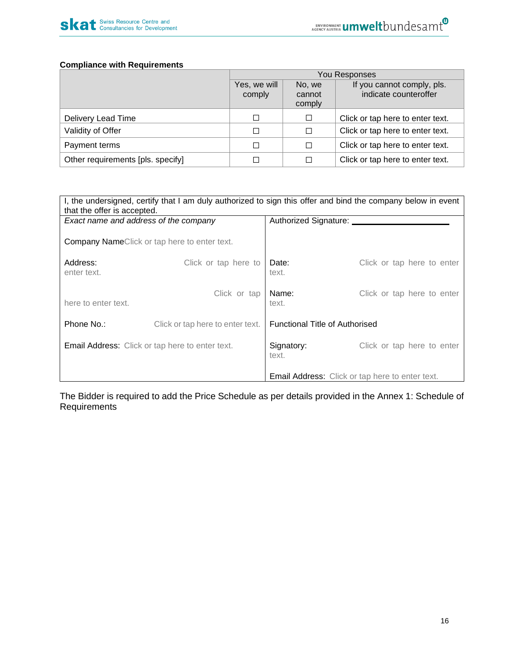

#### **Compliance with Requirements**

|                                   | You Responses          |                            |                                                     |  |
|-----------------------------------|------------------------|----------------------------|-----------------------------------------------------|--|
|                                   | Yes, we will<br>comply | No, we<br>cannot<br>comply | If you cannot comply, pls.<br>indicate counteroffer |  |
| Delivery Lead Time                | □                      | □                          | Click or tap here to enter text.                    |  |
| Validity of Offer                 | □                      | □                          | Click or tap here to enter text.                    |  |
| Payment terms                     | П                      | □                          | Click or tap here to enter text.                    |  |
| Other requirements [pls. specify] | □                      | □                          | Click or tap here to enter text.                    |  |

| I, the undersigned, certify that I am duly authorized to sign this offer and bind the company below in event<br>that the offer is accepted. |                                                     |                                       |                                                        |  |
|---------------------------------------------------------------------------------------------------------------------------------------------|-----------------------------------------------------|---------------------------------------|--------------------------------------------------------|--|
| Exact name and address of the company                                                                                                       |                                                     | Authorized Signature: _____           |                                                        |  |
|                                                                                                                                             | <b>Company NameClick or tap here to enter text.</b> |                                       |                                                        |  |
| Address:<br>enter text.                                                                                                                     | Click or tap here to                                | Date:<br>text.                        | Click or tap here to enter                             |  |
| here to enter text.                                                                                                                         | Click or tap                                        | Name:<br>text.                        | Click or tap here to enter                             |  |
| Phone No.:                                                                                                                                  | Click or tap here to enter text.                    | <b>Functional Title of Authorised</b> |                                                        |  |
| <b>Email Address:</b> Click or tap here to enter text.                                                                                      |                                                     | Signatory:<br>text.                   | Click or tap here to enter                             |  |
|                                                                                                                                             |                                                     |                                       | <b>Email Address:</b> Click or tap here to enter text. |  |

The Bidder is required to add the Price Schedule as per details provided in the Annex 1: Schedule of **Requirements**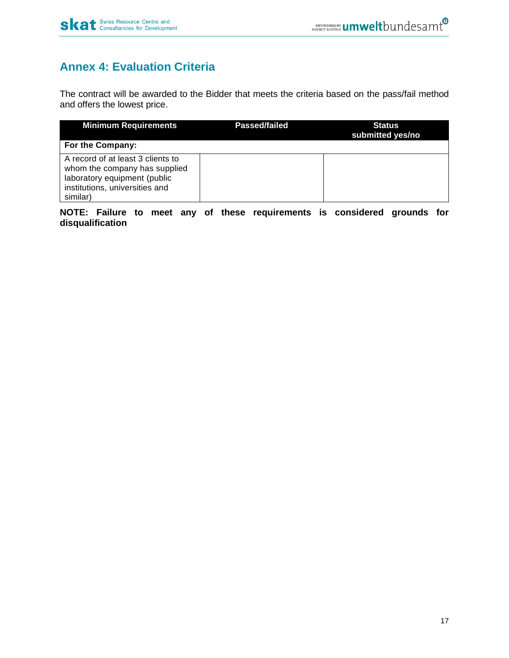# <span id="page-16-0"></span>**Annex 4: Evaluation Criteria**

The contract will be awarded to the Bidder that meets the criteria based on the pass/fail method and offers the lowest price.

| <b>Minimum Requirements</b>                                                                                                                      | Passed/failed | <b>Status</b><br>submitted yes/no |
|--------------------------------------------------------------------------------------------------------------------------------------------------|---------------|-----------------------------------|
| For the Company:                                                                                                                                 |               |                                   |
| A record of at least 3 clients to<br>whom the company has supplied<br>laboratory equipment (public<br>institutions, universities and<br>similar) |               |                                   |

**NOTE: Failure to meet any of these requirements is considered grounds for disqualification**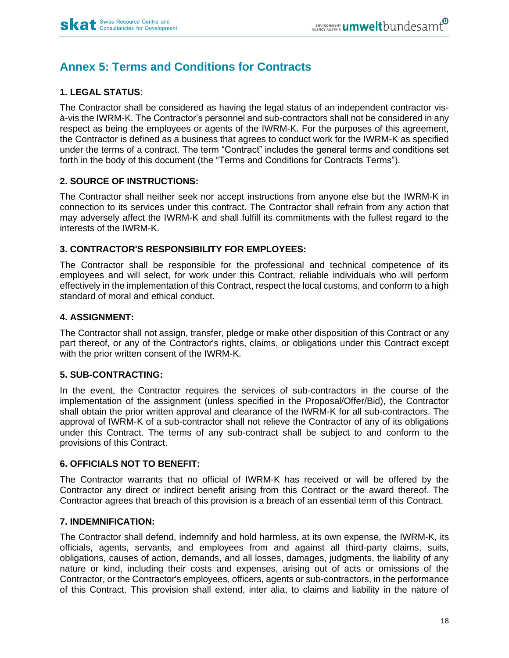# <span id="page-17-0"></span>**Annex 5: Terms and Conditions for Contracts**

# **1. LEGAL STATUS**:

The Contractor shall be considered as having the legal status of an independent contractor visà-vis the IWRM-K. The Contractor's personnel and sub-contractors shall not be considered in any respect as being the employees or agents of the IWRM-K. For the purposes of this agreement, the Contractor is defined as a business that agrees to conduct work for the IWRM-K as specified under the terms of a contract. The term "Contract" includes the general terms and conditions set forth in the body of this document (the "Terms and Conditions for Contracts Terms").

## **2. SOURCE OF INSTRUCTIONS:**

The Contractor shall neither seek nor accept instructions from anyone else but the IWRM-K in connection to its services under this contract. The Contractor shall refrain from any action that may adversely affect the IWRM-K and shall fulfill its commitments with the fullest regard to the interests of the IWRM-K.

## **3. CONTRACTOR'S RESPONSIBILITY FOR EMPLOYEES:**

The Contractor shall be responsible for the professional and technical competence of its employees and will select, for work under this Contract, reliable individuals who will perform effectively in the implementation of this Contract, respect the local customs, and conform to a high standard of moral and ethical conduct.

## **4. ASSIGNMENT:**

The Contractor shall not assign, transfer, pledge or make other disposition of this Contract or any part thereof, or any of the Contractor's rights, claims, or obligations under this Contract except with the prior written consent of the IWRM-K.

# **5. SUB-CONTRACTING:**

In the event, the Contractor requires the services of sub-contractors in the course of the implementation of the assignment (unless specified in the Proposal/Offer/Bid), the Contractor shall obtain the prior written approval and clearance of the IWRM-K for all sub-contractors. The approval of IWRM-K of a sub-contractor shall not relieve the Contractor of any of its obligations under this Contract. The terms of any sub-contract shall be subject to and conform to the provisions of this Contract.

## **6. OFFICIALS NOT TO BENEFIT:**

The Contractor warrants that no official of IWRM-K has received or will be offered by the Contractor any direct or indirect benefit arising from this Contract or the award thereof. The Contractor agrees that breach of this provision is a breach of an essential term of this Contract.

## **7. INDEMNIFICATION:**

The Contractor shall defend, indemnify and hold harmless, at its own expense, the IWRM-K, its officials, agents, servants, and employees from and against all third-party claims, suits, obligations, causes of action, demands, and all losses, damages, judgments, the liability of any nature or kind, including their costs and expenses, arising out of acts or omissions of the Contractor, or the Contractor's employees, officers, agents or sub-contractors, in the performance of this Contract. This provision shall extend, inter alia, to claims and liability in the nature of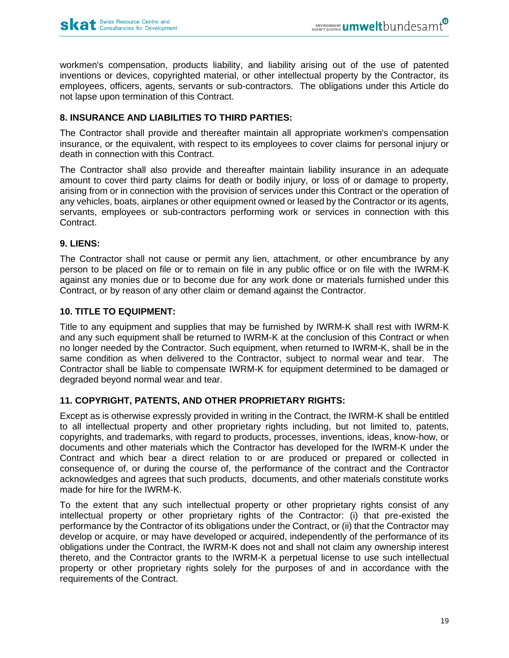workmen's compensation, products liability, and liability arising out of the use of patented inventions or devices, copyrighted material, or other intellectual property by the Contractor, its employees, officers, agents, servants or sub-contractors. The obligations under this Article do not lapse upon termination of this Contract.

## **8. INSURANCE AND LIABILITIES TO THIRD PARTIES:**

The Contractor shall provide and thereafter maintain all appropriate workmen's compensation insurance, or the equivalent, with respect to its employees to cover claims for personal injury or death in connection with this Contract.

The Contractor shall also provide and thereafter maintain liability insurance in an adequate amount to cover third party claims for death or bodily injury, or loss of or damage to property, arising from or in connection with the provision of services under this Contract or the operation of any vehicles, boats, airplanes or other equipment owned or leased by the Contractor or its agents, servants, employees or sub-contractors performing work or services in connection with this Contract.

## **9. LIENS:**

The Contractor shall not cause or permit any lien, attachment, or other encumbrance by any person to be placed on file or to remain on file in any public office or on file with the IWRM-K against any monies due or to become due for any work done or materials furnished under this Contract, or by reason of any other claim or demand against the Contractor.

## **10. TITLE TO EQUIPMENT:**

Title to any equipment and supplies that may be furnished by IWRM-K shall rest with IWRM-K and any such equipment shall be returned to IWRM-K at the conclusion of this Contract or when no longer needed by the Contractor. Such equipment, when returned to IWRM-K, shall be in the same condition as when delivered to the Contractor, subject to normal wear and tear. The Contractor shall be liable to compensate IWRM-K for equipment determined to be damaged or degraded beyond normal wear and tear.

## **11. COPYRIGHT, PATENTS, AND OTHER PROPRIETARY RIGHTS:**

Except as is otherwise expressly provided in writing in the Contract, the IWRM-K shall be entitled to all intellectual property and other proprietary rights including, but not limited to, patents, copyrights, and trademarks, with regard to products, processes, inventions, ideas, know-how, or documents and other materials which the Contractor has developed for the IWRM-K under the Contract and which bear a direct relation to or are produced or prepared or collected in consequence of, or during the course of, the performance of the contract and the Contractor acknowledges and agrees that such products, documents, and other materials constitute works made for hire for the IWRM-K.

To the extent that any such intellectual property or other proprietary rights consist of any intellectual property or other proprietary rights of the Contractor: (i) that pre-existed the performance by the Contractor of its obligations under the Contract, or (ii) that the Contractor may develop or acquire, or may have developed or acquired, independently of the performance of its obligations under the Contract, the IWRM-K does not and shall not claim any ownership interest thereto, and the Contractor grants to the IWRM-K a perpetual license to use such intellectual property or other proprietary rights solely for the purposes of and in accordance with the requirements of the Contract.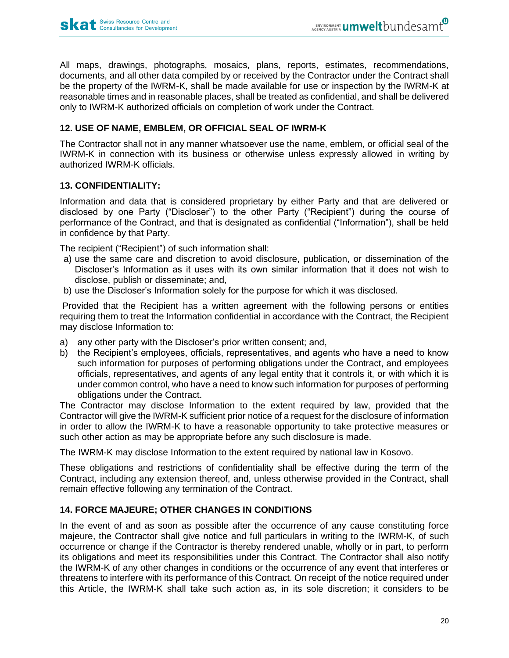All maps, drawings, photographs, mosaics, plans, reports, estimates, recommendations, documents, and all other data compiled by or received by the Contractor under the Contract shall be the property of the IWRM-K, shall be made available for use or inspection by the IWRM-K at reasonable times and in reasonable places, shall be treated as confidential, and shall be delivered only to IWRM-K authorized officials on completion of work under the Contract.

# **12. USE OF NAME, EMBLEM, OR OFFICIAL SEAL OF IWRM-K**

The Contractor shall not in any manner whatsoever use the name, emblem, or official seal of the IWRM-K in connection with its business or otherwise unless expressly allowed in writing by authorized IWRM-K officials.

## **13. CONFIDENTIALITY:**

Information and data that is considered proprietary by either Party and that are delivered or disclosed by one Party ("Discloser") to the other Party ("Recipient") during the course of performance of the Contract, and that is designated as confidential ("Information"), shall be held in confidence by that Party.

The recipient ("Recipient") of such information shall:

- a) use the same care and discretion to avoid disclosure, publication, or dissemination of the Discloser's Information as it uses with its own similar information that it does not wish to disclose, publish or disseminate; and,
- b) use the Discloser's Information solely for the purpose for which it was disclosed.

Provided that the Recipient has a written agreement with the following persons or entities requiring them to treat the Information confidential in accordance with the Contract, the Recipient may disclose Information to:

- a) any other party with the Discloser's prior written consent; and,
- b) the Recipient's employees, officials, representatives, and agents who have a need to know such information for purposes of performing obligations under the Contract, and employees officials, representatives, and agents of any legal entity that it controls it, or with which it is under common control, who have a need to know such information for purposes of performing obligations under the Contract.

The Contractor may disclose Information to the extent required by law, provided that the Contractor will give the IWRM-K sufficient prior notice of a request for the disclosure of information in order to allow the IWRM-K to have a reasonable opportunity to take protective measures or such other action as may be appropriate before any such disclosure is made.

The IWRM-K may disclose Information to the extent required by national law in Kosovo.

These obligations and restrictions of confidentiality shall be effective during the term of the Contract, including any extension thereof, and, unless otherwise provided in the Contract, shall remain effective following any termination of the Contract.

## **14. FORCE MAJEURE; OTHER CHANGES IN CONDITIONS**

In the event of and as soon as possible after the occurrence of any cause constituting force majeure, the Contractor shall give notice and full particulars in writing to the IWRM-K, of such occurrence or change if the Contractor is thereby rendered unable, wholly or in part, to perform its obligations and meet its responsibilities under this Contract. The Contractor shall also notify the IWRM-K of any other changes in conditions or the occurrence of any event that interferes or threatens to interfere with its performance of this Contract. On receipt of the notice required under this Article, the IWRM-K shall take such action as, in its sole discretion; it considers to be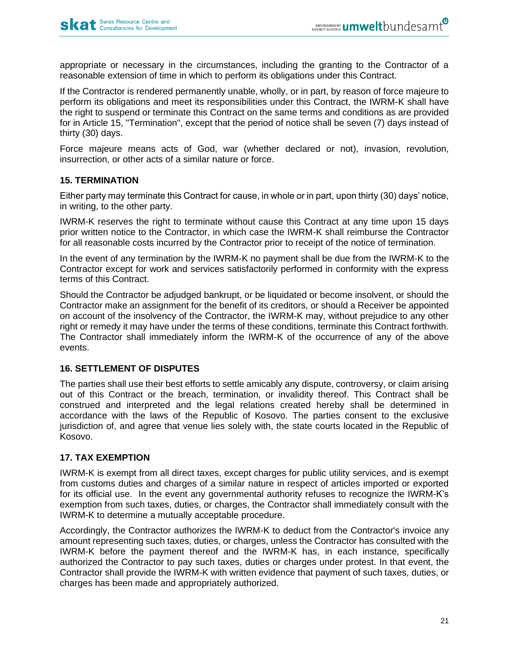appropriate or necessary in the circumstances, including the granting to the Contractor of a reasonable extension of time in which to perform its obligations under this Contract.

If the Contractor is rendered permanently unable, wholly, or in part, by reason of force majeure to perform its obligations and meet its responsibilities under this Contract, the IWRM-K shall have the right to suspend or terminate this Contract on the same terms and conditions as are provided for in Article 15, "Termination", except that the period of notice shall be seven (7) days instead of thirty (30) days.

Force majeure means acts of God, war (whether declared or not), invasion, revolution, insurrection, or other acts of a similar nature or force.

## **15. TERMINATION**

Either party may terminate this Contract for cause, in whole or in part, upon thirty (30) days' notice, in writing, to the other party.

IWRM-K reserves the right to terminate without cause this Contract at any time upon 15 days prior written notice to the Contractor, in which case the IWRM-K shall reimburse the Contractor for all reasonable costs incurred by the Contractor prior to receipt of the notice of termination.

In the event of any termination by the IWRM-K no payment shall be due from the IWRM-K to the Contractor except for work and services satisfactorily performed in conformity with the express terms of this Contract.

Should the Contractor be adjudged bankrupt, or be liquidated or become insolvent, or should the Contractor make an assignment for the benefit of its creditors, or should a Receiver be appointed on account of the insolvency of the Contractor, the IWRM-K may, without prejudice to any other right or remedy it may have under the terms of these conditions, terminate this Contract forthwith. The Contractor shall immediately inform the IWRM-K of the occurrence of any of the above events.

# **16. SETTLEMENT OF DISPUTES**

The parties shall use their best efforts to settle amicably any dispute, controversy, or claim arising out of this Contract or the breach, termination, or invalidity thereof. This Contract shall be construed and interpreted and the legal relations created hereby shall be determined in accordance with the laws of the Republic of Kosovo. The parties consent to the exclusive jurisdiction of, and agree that venue lies solely with, the state courts located in the Republic of Kosovo.

# **17. TAX EXEMPTION**

IWRM-K is exempt from all direct taxes, except charges for public utility services, and is exempt from customs duties and charges of a similar nature in respect of articles imported or exported for its official use. In the event any governmental authority refuses to recognize the IWRM-K's exemption from such taxes, duties, or charges, the Contractor shall immediately consult with the IWRM-K to determine a mutually acceptable procedure.

Accordingly, the Contractor authorizes the IWRM-K to deduct from the Contractor's invoice any amount representing such taxes, duties, or charges, unless the Contractor has consulted with the IWRM-K before the payment thereof and the IWRM-K has, in each instance, specifically authorized the Contractor to pay such taxes, duties or charges under protest. In that event, the Contractor shall provide the IWRM-K with written evidence that payment of such taxes, duties, or charges has been made and appropriately authorized.